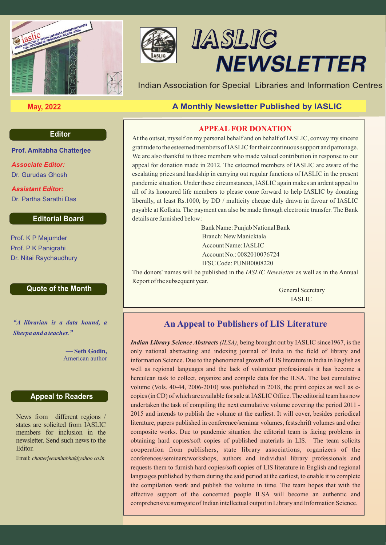



# IASLIC **NEWSLETTER**

Indian Association for Special Libraries and Information Centres

# **May, 2022 A Monthly Newsletter Published by IASLIC**

## **APPEAL FOR DONATION**

At the outset, myself on my personal behalf and on behalf of IASLIC, convey my sincere gratitude to the esteemed members of IASLIC for their continuous support and patronage. We are also thankful to those members who made valued contribution in response to our appeal for donation made in 2012. The esteemed members of IASLIC are aware of the escalating prices and hardship in carrying out regular functions of IASLIC in the present pandemic situation. Under these circumstances, IASLIC again makes an ardent appeal to all of its honoured life members to please come forward to help IASLIC by donating liberally, at least Rs.1000, by DD / multicity cheque duly drawn in favour of IASLIC payable at Kolkata. The payment can also be made through electronic transfer. The Bank details are furnished below:

> Bank Name: Punjab National Bank Branch: New Manicktala Account Name: IASLIC Account No.: 0082010076724 IFSC Code: PUNB0008220

The donors' names will be published in the *IASLIC Newsletter* as well as in the Annual Report of the subsequent year.

> General Secretary IASLIC

# **An Appeal to Publishers of LIS Literature**

*Indian Library Science Abstracts (ILSA)*, being brought out by IASLIC since1967, is the only national abstracting and indexing journal of India in the field of library and information Science. Due to the phenomenal growth of LIS literature in India in English as well as regional languages and the lack of volunteer professionals it has become a herculean task to collect, organize and compile data for the ILSA. The last cumulative volume (Vols. 40-44, 2006-2010) was published in 2018, the print copies as well as ecopies (in CD) of which are available for sale at IASLIC Office. The editorial team has now undertaken the task of compiling the next cumulative volume covering the period 2011 - 2015 and intends to publish the volume at the earliest. It will cover, besides periodical literature, papers published in conference/seminar volumes, festschrift volumes and other composite works. Due to pandemic situation the editorial team is facing problems in obtaining hard copies/soft copies of published materials in LIS. The team solicits cooperation from publishers, state library associations, organizers of the conferences/seminars/workshops, authors and individual library professionals and requests them to furnish hard copies/soft copies of LIS literature in English and regional languages published by them during the said period at the earliest, to enable it to complete the compilation work and publish the volume in time. The team hopes that with the effective support of the concerned people ILSA will become an authentic and comprehensive surrogate of Indian intellectual output in Library and Information Science.

### **Editor**

**Prof. Amitabha Chatterjee**

Dr. Gurudas Ghosh *Associate Editor:* 

Dr. Partha Sarathi Das *Assistant Editor:* 

## **Editorial Board**

Prof. K P Majumder Prof. P K Panigrahi Dr. Nitai Raychaudhury

#### **Quote of the Month**

*"A librarian is a data hound, a Sherpa and a teacher."*

> **Seth Godin,** American author

#### **Appeal to Readers**

News from different regions / states are solicited from IASLIC members for inclusion in the newsletter. Send such news to the Editor.

Email: *chatterjeeamitabha@yahoo.co.in*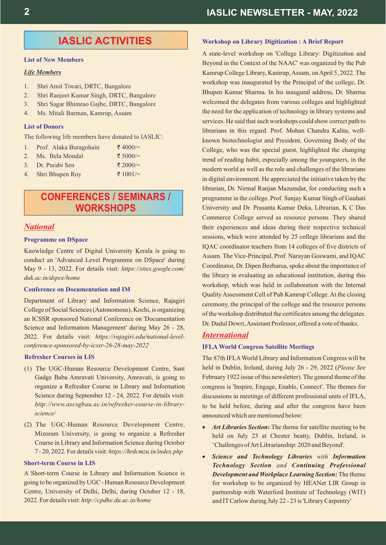#### **List of New Members**

#### *Life Members*

- 1. Shri Amit Tiwari, DRTC, Bangalore
- 2. Shri Ranjeet Kumar Singh, DRTC, Bangalore
- 3. Shri Sagar Bhimrao Gajbe, DRTC, Bangalore
- 4. Ms. Mitali Barman, Kamrup, Assam

#### **List of Donors**

The following life members have donated to IASLIC:

|  |  |  | 1. Prof. Alaka Buragohain | ₹4000/= |
|--|--|--|---------------------------|---------|
|--|--|--|---------------------------|---------|

- 2. Ms. Bela Mondal ₹ 5000/ $=$
- 3. Dr. Purabi Sen
- 4. Shri Bhupen Roy

# **CONFERENCES / SEMINARS / WORKSHOPS**

₹ 2000/= ₹ 1001/=

#### *National*

#### **Programme on DSpace**

Knowledge Centre of Digital University Kerala is going to conduct an 'Advanced Level Programme on DSpace' during May 9 - 13, 2022. For details visit: *https://sites.google.com/ duk.ac.in/dspce/home*

#### **Conference on Documentation and IM**

Department of Library and Information Science, Rajagiri College of Social Sciences (Autonomous), Kochi, is organizing an ICSSR sponsored National Conference on 'Documentation Science and Information Management' during May 26 - 28, 2022. For details visit: *https://rajagiri.edu/national-levelconference-sponsored-by-icssr-26-28-may-2022*

#### **Refresher Courses in LIS**

- (1) The UGC-Human Resource Development Centre, Sant Gadge Baba Amravati University, Amravati, is going to organize a Refresher Course in Library and Information Science during September 12 - 24, 2022. For details visit: *http://www.ascsgbau.ac.in/refresher-course-in-libraryscience/*
- (2) The UGC-Human Resource Development Centre, Mizoram University, is going to organize a Refresher Course in Library and Information Science during October 7 - 20, 2022. For details visit: *https://hrdcmzu.in/index.php*

#### **Short-term Course in LIS**

A Short-term Course in Library and Information Science is going to be organized by UGC - Human Resource Development Centre, University of Delhi, Delhi, during October 12 - 18, 2022. For details visit: *http://cpdhe.du.ac.in/home*

#### **Workshop on Library Digitization : A Brief Report**

A state-level workshop on 'College Library: Digitization and Beyond in the Context of the NAAC' was organized by the Pub Kamrup College Library, Kamrup, Assam, on April 5, 2022. The workshop was inaugurated by the Principal of the college, Dr. Bhupen Kumar Sharma. In his inaugural address, Dr. Sharma welcomed the delegates from various colleges and highlighted the need for the application of technology in library systems and services. He said that such workshops could show correct path to librarians in this regard. Prof. Mohan Chandra Kalita, wellknown biotechnologist and President, Governing Body of the College, who was the special guest, highlighted the changing trend of reading habit, especially among the youngsters, in the modern world as well as the role and challenges of the librarians in digital environment. He appreciated the initiative taken by the librarian, Dr. Nirmal Ranjan Mazumdar, for conducting such a programme in the college. Prof. Sanjay Kumar Singh of Gauhati University and Dr. Prasanta Kumar Deka, Librarian, K C Das Commerce College served as resource persons. They shared their experiences and ideas during their respective technical sessions, which were attended by 25 college librarians and the IQAC coordinator teachers from 14 colleges of five districts of Assam. The Vice-Principal, Prof. Narayan Goswami, and IQAC Coordinator, Dr. Dipen Bezbarua, spoke about the importance of the library in evaluating an educational institution, during this workshop, which was held in collaboration with the Internal Quality Assessment Cell of Pub Kamrup College. At the closing ceremony, the principal of the college and the resource persons of the workshop distributed the certificates among the delegates. Dr. Dadul Dewri, Assistant Professor, offered a vote of thanks.

#### *International*

#### **IFLA World Congress Satellite Meetings**

The 87th IFLAWorld Library and Information Congress will be held in Dublin, Ireland, during July 26 - 29, 2022 (*Please See* February 1922 issue of this newsletter). The general theme of the congress is 'Inspire, Engage, Enable, Connect'. The themes for discussions in meetings of different professional units of IFLA, to be held before, during and after the congress have been announced which are mentioned below:

- *Art Libraries Section***:** The theme for satellite meeting to be held on July 23 at Chester beatty, Dublin, Ireland, is 'Challenges of Art Librarianship: 2020 and Beyond'.
- *Science and Technology Libraries with Information Technology Section and Continuing Professional Development and Workplace Learning Section***:** The theme for workshop to be organized by HEANet LIR Group in partnership with Waterford Institute of Technology (WIT) and ITCarlow during July 22 - 23 is 'Library Carpentry'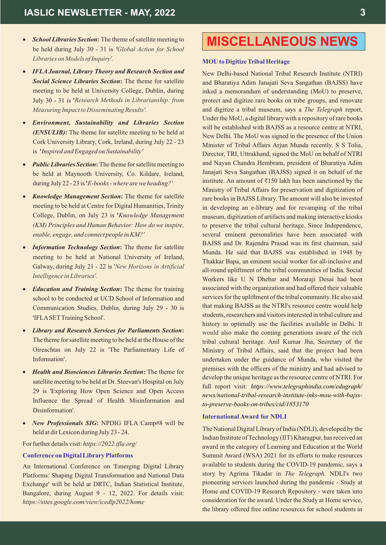- *School Libraries Section*: The theme of satellite meeting to be held during July 30 - 31 is *' Global Action for School Libraries on Models ofInquiry'.*
- *IFLAJournal, Library Theory and Research Section and Social Science Libraries Section***:** The theme for satellite meeting to be held at University College, Dublin, during July 30 - 31 is **'** *Research Methods in Librarianship: from Measuring Impactto Disseminating Results'.*
- *Environment, Sustainability and Libraries Section (ENSULIB)***:** The theme for satellite meeting to be held at Cork University Library, Cork, Ireland, during July 22 - 23 is **'***Inspired and Engaged on Sustainability'*
- *Public Libraries Section*: The theme for satellite meeting to be held at Maynooth University, Co. Kildare, Ireland, during July 22 - 23 is **'***E-books -where arewe heading ?'*
- *Knowledge Management Section***:** The theme for satellite meeting to be held at Centre for Digital Humanities, Trinity College, Dublin, on July 23 is **'***Knowledge Management (KM) Principles and Human Behavior: How do we inspire, enable, engage, and connect people in KM?'*
- *Information Technology Section*: The theme for satellite meeting to be held at National University of Ireland, Galway, during July 21 - 22 is ' *New Horizons in Artificial Intelligence in Libraries'.*
- *Education and Training Section***:** The theme for training school to be conducted at UCD School of Information and Communication Studies, Dublin, during July 29 - 30 is 'IFLASETTraining School'.
- *Library and Research Services for Parliaments Section***:** The theme for satellite meeting to be held at the House of the Oireachtas on July 22 is 'The Parliamentary Life of Information'.
- *Health and Biosciences Libraries Section***:** The theme for satellite meeting to be held at Dr. Steevan's Hospital on July 29 is 'Exploring How Open Science and Open Access Influence the Spread of Health Misinformation and Disinformation'.
- *New Professionals SIG*: NPDIG IFLA Camp#8 will be held at dirLexicon during July 23 - 24.

#### For further details visit: *https://2022.ifla.org/*

#### **Conference on DigitalLibrary Platforms**

An International Conference on 'Emerging Digital Library Platforms: Shaping Digital Transformation and National Data Exchange' will be held at DRTC, Indian Statistical Institute, Bangalore, during August 9 - 12, 2022. For details visit: *https://sites.google.com/view/icedlp2022/home*

# **MISCELLANEOUS NEWS**

#### **MOU to Digitize Tribal Heritage**

New Delhi-based National Tribal Research Institute (NTRI) and Bharatiya Adim Janajati Seva Sangathan (BAJSS) have inked a memorandum of understanding (MoU) to preserve, protect and digitize rare books on tribe groups, and renovate and digitize a tribal museum, says a *The Telegraph* report. Under the MoU, a digital library with a repository of rare books will be established with BAJSS as a resource centre at NTRI, New Delhi. The MoU was signed in the presence of the Union Minister of Tribal Affairs Arjun Munda recently. S S Tolia, Director, TRI, Uttrakhand, signed the MoU on behalf of NTRI and Nayan Chandra Hembram, president of Bharatiya Adim Janajati Seva Sangathan (BAJSS) signed it on behalf of the institute. An amount of  $\bar{\tau}$ 150 lakh has been sanctioned by the Ministry of Tribal Affairs for preservation and digitization of rare books in BAJSS Library. The amount will also be invested in developing an e-library and for revamping of the tribal museum, digitization of artifacts and making interactive kiosks to preserve the tribal cultural heritage. Since Independence, several eminent personalities have been associated with BAJSS and Dr. Rajendra Prasad was its first chairman, said Munda. He said that BAJSS was established in 1948 by Thakkar Bapa, an eminent social worker for all-inclusive and all-round upliftment of the tribal communities of India. Social Workers like U N Dhebar and Moraraji Desai had been associated with the organization and had offered their valuable services for the upliftment of the tribal community. He also said that making BAJSS as the NTRI's resource centre would help students, researchers and visitors interested in tribal culture and history to optimally use the facilities available in Delhi. It would also make the coming generations aware of the rich tribal cultural heritage. Anil Kumar Jha, Secretary of the Ministry of Tribal Affairs, said that the project had been undertaken under the guidance of Munda, who visited the premises with the officers of the ministry and had advised to develop the unique heritage as the resource centre of NTRI. For full report visit: *https://www.telegraphindia.com/edugraph/ news/national-tribal-research-institute-inks-mou-with-bajssto-preserve-books-on-tribes/cid/1853170*

#### **International Award for NDLI**

The National Digital Library of India (NDLI), developed by the Indian Institute of Technology (IIT) Kharagpur, has received an award in the category of Learning and Education at the World Summit Award (WSA) 2021 for its efforts to make resources available to students during the COVID-19 pandemic, says a story by Agrima Tikadar in *The Telegraph.* NDLI's two pioneering services launched during the pandemic - Study at Home and COVID-19 Research Repository - were taken into consideration for the award. Under the Study at Home service, the library offered free online resources for school students in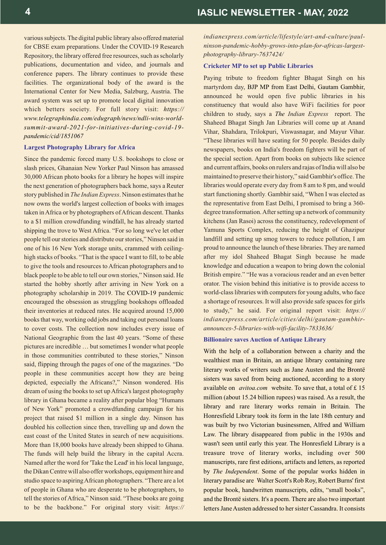various subjects. The digital public library also offered material for CBSE exam preparations. Under the COVID-19 Research Repository, the library offered free resources, such as scholarly publications, documentation and video, and journals and conference papers. The library continues to provide these facilities. The organizational body of the award is the International Center for New Media, Salzburg, Austria. The award system was set up to promote local digital innovation which betters society. For full story visit: *https:// www.telegraphindia.com/edugraph/news/ndli-wins-worldsummit-award-2021-for-initiatives-during-covid-19 pandemic/cid/1851067*

#### **Largest Photography Library for Africa**

Since the pandemic forced many U.S. bookshops to close or slash prices, Ghanaian New Yorker Paul Ninson has amassed 30,000 African photo books for a library he hopes will inspire the next generation of photographers back home, says a Reuter story published in *The Indian Express*. Ninson estimates that he now owns the world's largest collection of books with images taken in Africa or by photographers of African descent. Thanks to a \$1 million crowdfunding windfall, he has already started shipping the trove to West Africa. "For so long we've let other people tell our stories and distribute our stories," Ninson said in one of his 16 New York storage units, crammed with ceilinghigh stacks of books. "That is the space I want to fill, to be able to give the tools and resources to African photographers and to black people to be able to tell our own stories," Ninson said. He started the hobby shortly after arriving in New York on a photography scholarship in 2019. The COVID-19 pandemic encouraged the obsession as struggling bookshops offloaded their inventories at reduced rates. He acquired around 15,000 books that way, working odd jobs and taking out personal loans to cover costs. The collection now includes every issue of National Geographic from the last 40 years. "Some of these pictures are incredible … but sometimes I wonder what people in those communities contributed to these stories," Ninson said, flipping through the pages of one of the magazines. "Do people in these communities accept how they are being depicted, especially the Africans?," Ninson wondered. His dream of using the books to set up Africa's largest photography library in Ghana became a reality after popular blog "Humans of New York" promoted a crowdfunding campaign for his project that raised \$1 million in a single day. Ninson has doubled his collection since then, travelling up and down the east coast of the United States in search of new acquisitions. More than 18,000 books have already been shipped to Ghana. The funds will help build the library in the capital Accra. Named after the word for 'Take the Lead' in his local language, the Dikan Centre will also offer workshops, equipment hire and studio space to aspiring African photographers. "There are a lot of people in Ghana who are desperate to be photographers, to tell the stories of Africa," Ninson said. "These books are going to be the backbone." For original story visit: *https://*  *indianexpress.com/article/lifestyle/art-and-culture/paulninson-pandemic-hobby-grows-into-plan-for-africas-largestphotography-library-7637424/*

#### **Cricketer MP to set up Public Libraries**

Paying tribute to freedom fighter Bhagat Singh on his martyrdom day, BJP MP from East Delhi, Gautam Gambhir, announced he would open five public libraries in his constituency that would also have WiFi facilities for poor children to study, says a *Indian Express* report. The *The* Shaheed Bhagat Singh Jan Libraries will come up at Anand Vihar, Shahdara, Trilokpuri, Viswasnagar, and Mayur Vihar. "These libraries will have seating for 50 people. Besides daily newspapers, books on India's freedom fighters will be part of the special section. Apart from books on subjects like science and current affairs, books on rulers and rajas of India will also be maintained to preserve their history," said Gambhir's office. The libraries would operate every day from 8 am to 8 pm, and would start functioning shortly. Gambhir said, "When I was elected as the representative from East Delhi, I promised to bring a 360 degree transformation. After setting up a network of community kitchens (Jan Rasoi) across the constituency, redevelopment of Yamuna Sports Complex, reducing the height of Ghazipur landfill and setting up smog towers to reduce pollution, I am proud to announce the launch of these libraries. They are named after my idol Shaheed Bhagat Singh because he made knowledge and education a weapon to bring down the colonial British empire." "He was a voracious reader and an even better orator. The vision behind this initiative is to provide access to world-class libraries with computers for young adults, who face a shortage of resources. It will also provide safe spaces for girls to study," he said. For original report visit: *https:// indianexpress.com/article/cities/delhi/gautam-gambhirannounces-5-libraries-with-wifi-facility-7833636/*

#### **Billionaire saves Auction of Antique Library**

With the help of a collaboration between a charity and the wealthiest man in Britain, an antique library containing rare literary works of writers such as Jane Austen and the Brontë sisters was saved from being auctioned, according to a story available on *avitoa.com* website. To save that, a total of £ 15 million (about 15.24 billion rupees) was raised. As a result, the library and rare literary works remain in Britain. The Honresfield Library took its form in the late 18th century and was built by two Victorian businessmen, Alfred and William Law. The library disappeared from public in the 1930s and wasn't seen until early this year. The Honresfield Library is a treasure trove of literary works, including over 500 manuscripts, rare first editions, artifacts and letters, as reported by *The Independent*. Some of the popular works hidden in literary paradise are Walter Scott's Rob Roy, Robert Burns' first popular book, handwritten manuscripts, edits, "small books", and the Brontë sisters. It's a poem. There are also two important letters Jane Austen addressed to her sister Cassandra. It consists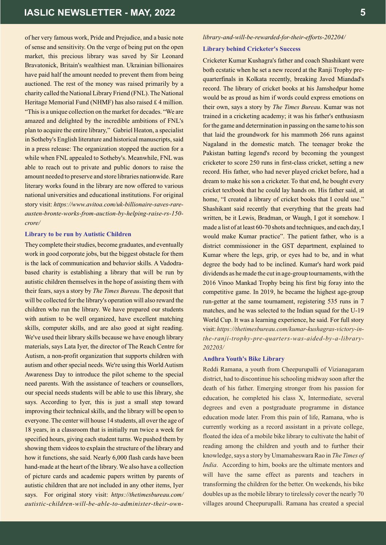of her very famous work, Pride and Prejudice, and a basic note of sense and sensitivity. On the verge of being put on the open market, this precious library was saved by Sir Leonard Bravatonick, Britain's wealthiest man. Ukrainian billionaires have paid half the amount needed to prevent them from being auctioned. The rest of the money was raised primarily by a charity called the National Library Friend (FNL). The National Heritage Memorial Fund (NHMF) has also raised £ 4 million. "This is a unique collection on the market for decades. "We are amazed and delighted by the incredible ambitions of FNL's plan to acquire the entire library," Gabriel Heaton, a specialist in Sotheby's English literature and historical manuscripts, said in a press release: The organization stopped the auction for a while when FNL appealed to Sotheby's. Meanwhile, FNL was able to reach out to private and public donors to raise the amount needed to preserve and store libraries nationwide. Rare literary works found in the library are now offered to various national universities and educational institutions. For original story visit: *https://www.avitoa.com/uk-billionaire-saves-rareausten-bronte-works-from-auction-by-helping-raise-rs-150 crore/*

#### **Library to be run by Autistic Children**

They complete their studies, become graduates, and eventually work in good corporate jobs, but the biggest obstacle for them is the lack of communication and behavior skills. A Vadodrabased charity is establishing a library that will be run by autistic children themselves in the hope of assisting them with their fears, says a story by *The Times Bureau*. The deposit that will be collected for the library's operation will also reward the children who run the library. We have prepared our students with autism to be well organized, have excellent matching skills, computer skills, and are also good at sight reading. We've used their library skills because we have enough library materials, says Lata Iyer, the director of The Reach Centre for Autism, a non-profit organization that supports children with autism and other special needs. We're using this World Autism Awareness Day to introduce the pilot scheme to the special need parents. With the assistance of teachers or counsellors, our special needs students will be able to use this library, she says. According to Iyer, this is just a small step toward improving their technical skills, and the library will be open to everyone. The center will house 14 students, all over the age of 18 years, in a classroom that is initially run twice a week for specified hours, giving each student turns. We pushed them by showing them videos to explain the structure of the library and how it functions, she said. Nearly 6,000 flash cards have been hand-made at the heart of the library. We also have a collection of picture cards and academic papers written by parents of autistic children that are not included in any other items, Iyer says. For original story visit: *https://thetimesbureau.com/ autistic-children-will-be-able-to-administer-their-own-*

#### *library-and-will-be-rewarded-for-their-efforts-202204/*

#### **Library behind Cricketer's Success**

Cricketer Kumar Kushagra's father and coach Shashikant were both ecstatic when he set a new record at the Ranji Trophy prequarterfinals in Kolkata recently, breaking Javed Miandad's record. The library of cricket books at his Jamshedpur home would be as proud as him if words could express emotions on their own, says a story by *The Times Bureau*. Kumar was not trained in a cricketing academy; it was his father's enthusiasm for the game and determination in passing on the same to his son that laid the groundwork for his mammoth 266 runs against Nagaland in the domestic match. The teenager broke the Pakistan batting legend's record by becoming the youngest cricketer to score 250 runs in first-class cricket, setting a new record. His father, who had never played cricket before, had a dream to make his son a cricketer. To that end, he bought every cricket textbook that he could lay hands on. His father said, at home, "I created a library of cricket books that I could use." Shashikant said recently that everything that the greats had written, be it Lewis, Bradman, or Waugh, I got it somehow. I made a list of at least 60-70 shots and techniques, and each day, I would make Kumar practice". The patient father, who is a district commissioner in the GST department, explained to Kumar where the legs, grip, or eyes had to be, and in what degree the body had to be inclined. Kumar's hard work paid dividends as he made the cut in age-group tournaments, with the 2016 Vinoo Mankad Trophy being his first big foray into the competitive game. In 2019, he became the highest age-group run-getter at the same tournament, registering 535 runs in 7 matches, and he was selected to the Indian squad for the U-19 World Cup. It was a learning experience, he said. For full story visit: *https://thetimesbureau.com/kumar-kushagras-victory-inthe-ranji-trophy-pre-quarters-was-aided-by-a-library-202203/*

#### **Andhra Youth's Bike Library**

Reddi Ramana, a youth from Cheepurupalli of Vizianagaram district, had to discontinue his schooling midway soon after the death of his father. Emerging stronger from his passion for education, he completed his class X, Intermediate, several degrees and even a postgraduate programme in distance education mode later. From this pain of life, Ramana, who is currently working as a record assistant in a private college, floated the idea of a mobile bike library to cultivate the habit of reading among the children and youth and to further their knowledge, says a story by Umamaheswara Rao in *The Times of India*. According to him, books are the ultimate mentors and will have the same effect as parents and teachers in transforming the children for the better. On weekends, his bike doubles up as the mobile library to tirelessly cover the nearly 70 villages around Cheepurupalli. Ramana has created a special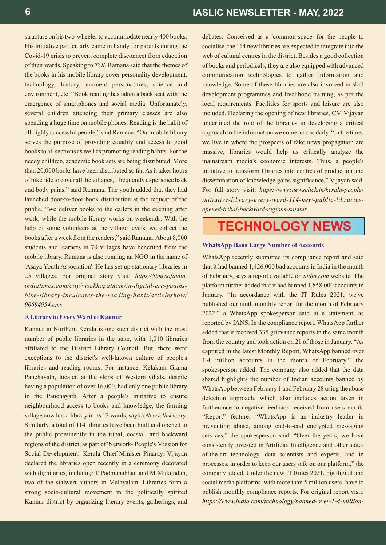structure on his two-wheeler to accommodate nearly 400 books. His initiative particularly came in handy for parents during the Covid-19 crisis to prevent complete disconnect from education of their wards. Speaking to *TOI*, Ramana said that the themes of the books in his mobile library cover personality development, technology, history, eminent personalities, science and environment, etc. "Book reading has taken a back seat with the emergence of smartphones and social media. Unfortunately, several children attending their primary classes are also spending a huge time on mobile phones. Reading is the habit of all highly successful people," said Ramana. "Our mobile library serves the purpose of providing equality and access to good books to all sections as well as promoting reading habits. For the needy children, academic book sets are being distributed. More than 20,000 books have been distributed so far. As it takes hours of bike ride to cover all the villages, I frequently experience back and body pains," said Ramana. The youth added that they had launched door-to-door book distribution at the request of the public. "We deliver books to the callers in the evening after work, while the mobile library works on weekends. With the help of some volunteers at the village levels, we collect the books after a week from the readers," said Ramana. About 8,000 students and learners in 70 villages have benefited from the mobile library. Ramana is also running an NGO in the name of 'Asaya Youth Association'. He has set up stationary libraries in 25 villages. For original story visit: *https://timesofindia. indiatimes.com/city/visakhapatnam/in-digital-era-youthsbike-library-inculcates-the-reading-habit/articleshow/ 90694954.cms*

#### **ALibrary in Every Ward of Kannur**

Kannur in Northern Kerala is one such district with the most number of public libraries in the state, with 1,010 libraries affiliated to the District Library Council. But, there were exceptions to the district's well-known culture of people's libraries and reading rooms. For instance, Kelakam Grama Panchayath, located at the slops of Western Ghats, despite having a population of over 16,000, had only one public library in the Panchayath. After a people's initiative to ensure neighbourhood access to books and knowledge, the farming village now has a library in its 13 wards, says a *Newsclick* story. Similarly, a total of 114 libraries have been built and opened to the public prominently in the tribal, coastal, and backward regions of the district, as part of 'Network- People's Mission for Social Development.' Kerala Chief Minister Pinarayi Vijayan declared the libraries open recently in a ceremony decorated with dignitaries, including T Padmanabhan and M Mukundan, two of the stalwart authors in Malayalam. Libraries form a strong socio-cultural movement in the politically spirited Kannur district by organizing literary events, gatherings, and

debates. Conceived as a 'common-space' for the people to socialise, the 114 new libraries are expected to integrate into the web of cultural centres in the district. Besides a good collection of books and periodicals, they are also equipped with advanced communication technologies to gather information and knowledge. Some of these libraries are also involved in skill development programmes and livelihood training, as per the local requirements. Facilities for sports and leisure are also included. Declaring the opening of new libraries, CM Vijayan underlined the role of the libraries in developing a critical approach to the information we come across daily. "In the times we live in where the prospects of fake news propagation are massive, libraries would help us critically analyze the mainstream media's economic interests. Thus, a people's initiative to transform libraries into centres of production and dissemination of knowledge gains significance," Vijayan said. For full story visit: *https://www.newsclick.in/kerala-peopleinitiative-library-every-ward-114-new-public-librariesopened-tribal-backward-regions-kannur*

# **TECHNOLOGY NEWS**

#### **WhatsApp Bans Large Number of Accounts**

WhatsApp recently submitted its compliance report and said that it had banned 1,426,000 bad accounts in India in the month of February, says a report available on *india.com* website. The platform further added that it had banned 1,858,000 accounts in January. "In accordance with the IT Rules 2021, we've published our ninth monthly report for the month of February 2022," a WhatsApp spokesperson said in a statement, as reported by IANS. In the compliance report, WhatsApp further added that it received 335 grievance reports in the same month from the country and took action on 21 of those in January. "As captured in the latest Monthly Report, WhatsApp banned over 1.4 million accounts in the month of February," the spokesperson added. The company also added that the data shared highlights the number of Indian accounts banned by WhatsApp between February 1 and February 28 using the abuse detection approach, which also includes action taken in furtherance to negative feedback received from users via its "Report" feature. "WhatsApp is an industry leader in preventing abuse, among end-to-end encrypted messaging services," the spokesperson said. "Over the years, we have consistently invested in Artificial Intelligence and other stateof-the-art technology, data scientists and experts, and in processes, in order to keep our users safe on our platform," the company added. Under the new IT Rules 2021, big digital and social media platforms with more than 5 million users have to publish monthly compliance reports. For original report visit: *https://www.india.com/technology/banned-over-1-4-million-*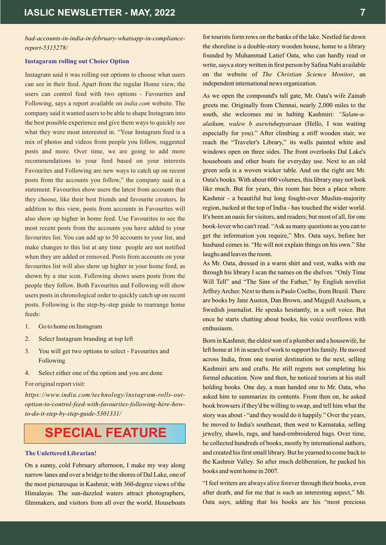*bad-accounts-in-india-in-february-whatsapp-in-compliancereport-5315278/*

#### **Instagaram rolling out Choice Option**

Instagram said it was rolling out options to choose what users can see in their feed. Apart from the regular Home view, the users can control feed with two options - Favourites and Following, says a report available on *india.com* website. The company said it wanted users to be able to shape Instagram into the best possible experience and give them ways to quickly see what they were most interested in. "Your Instagram feed is a mix of photos and videos from people you follow, suggested posts and more. Over time, we are going to add more recommendations to your feed based on your interests Favourites and Following are new ways to catch up on recent posts from the accounts you follow," the company said in a statement. Favourites show users the latest from accounts that they choose, like their best friends and favourite creators. In addition to this view, posts from accounts in Favourites will also show up higher in home feed. Use Favourites to see the most recent posts from the accounts you have added to your favourites list. You can add up to 50 accounts to your list, and make changes to this list at any time people are not notified when they are added or removed. Posts from accounts on your favourites list will also show up higher in your home feed, as shown by a star icon. Following shows users posts from the people they follow. Both Favourites and Following will show users posts in chronological order to quickly catch up on recent posts. Following is the step-by-step guide to rearrange home feeds:

- 1. Go to home on Instagram
- 2. Select Instagram branding at top left
- 3. You will get two options to select Favourites and Following
- 4. Select either one of the option and you are done

For original report visit:

*https://www.india.com/technology/instagram-rolls-outoption-to-control-feed-with-favourites-following-here-howto-do-it-step-by-step-guide-5301331/* 

# **SPECIAL FEATURE**

#### **The Unlettered Librarian!**

On a sunny, cold February afternoon, I make my way along narrow lanes and over a bridge to the shores of Dal Lake, one of the most picturesque in Kashmir, with 360-degree views of the Himalayas. The sun-dazzled waters attract photographers, filmmakers, and visitors from all over the world. Houseboats

for tourists form rows on the banks of the lake. Nestled far down the shoreline is a double-story wooden house, home to a library founded by Muhammad Latief Oata, who can hardly read or write, says a story written in first person by Safina Nabi available on the website of *The Christian Science Monitor*, an independent international news organization.

As we open the compound's tall gate, Mr. Oata's wife Zainab greets me. Originally from Chennai, nearly 2,000 miles to the south, she welcomes me in halting Kashmiri: *"Salam-ualaikum, walew b asewtuhepyaraan* (Hello, I was waiting especially for you)." After climbing a stiff wooden stair, we reach the "Traveler's Library," its walls painted white and windows open on three sides. The front overlooks Dal Lake's houseboats and other boats for everyday use. Next to an old green sofa is a woven wicker table. And on the right are Mr. Oata's books. With about 600 volumes, this library may not look like much. But for years, this room has been a place where Kashmir - a beautiful but long fought-over Muslim-majority region, tucked at the top of India - has touched the wider world. It's been an oasis for visitors, and readers; but most of all, for one book-lover who can't read. "Ask as many questions as you can to get the information you require," Mrs. Oata says, before her husband comes in. "He will not explain things on his own." She laughs and leaves the room.

As Mr. Oata, dressed in a warm shirt and vest, walks with me through his library I scan the names on the shelves. "Only Time Will Tell" and "The Sins of the Father," by English novelist Jeffrey Archer. Next to them is Paulo Coelho, from Brazil. There are books by Jane Austen, Dan Brown, and Majgull Axelsson, a Swedish journalist. He speaks hesitantly, in a soft voice. But once he starts chatting about books, his voice overflows with enthusiasm.

Born in Kashmir, the eldest son of a plumber and a housewife, he left home at 16 in search of work to support his family. He moved across India, from one tourist destination to the next, selling Kashmiri arts and crafts. He still regrets not completing his formal education. Now and then, he noticed tourists at his stall holding books. One day, a man handed one to Mr. Oata, who asked him to summarize its contents. From then on, he asked book browsers if they'd be willing to swap, and tell him what the story was about - "and they would do it happily." Over the years, he moved to India's southeast, then west to Karnataka, selling jewelry, shawls, rugs, and hand-embroidered bags. Over time, he collected hundreds of books, mostly by international authors, and created his first small library. But he yearned to come back to the Kashmir Valley. So after much deliberation, he packed his books and went home in 2007.

"I feel writers are always alive forever through their books, even after death, and for me that is such an interesting aspect," Mr. Oata says, adding that his books are his "most precious